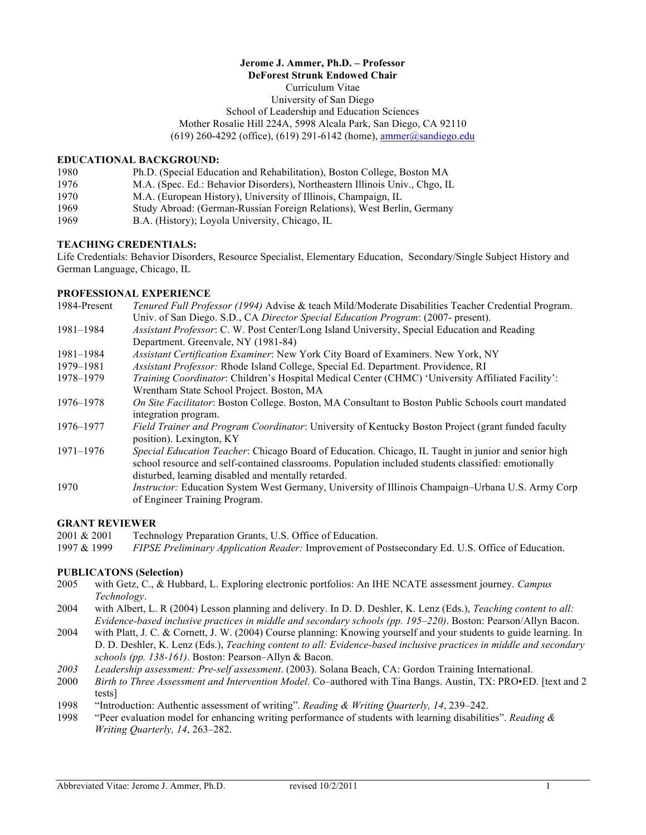# **Jerome J. Ammer, Ph.D. – Professor**

# **DeForest Strunk Endowed Chair**

Curriculum Vitae

University of San Diego

School of Leadership and Education Sciences

Mother Rosalie Hill 224A, 5998 Alcala Park, San Diego, CA 92110

(619) 260-4292 (office), (619) 291-6142 (home),  $\frac{ammer(a) \cdot 260 - 4292}{a}$ 

# **EDUCATIONAL BACKGROUND:**

| 1980 | Ph.D. (Special Education and Rehabilitation), Boston College, Boston MA     |
|------|-----------------------------------------------------------------------------|
| 1976 | M.A. (Spec. Ed.: Behavior Disorders), Northeastern Illinois Univ., Chgo, IL |
| 1970 | M.A. (European History), University of Illinois, Champaign, IL              |
| 1969 | Study Abroad: (German-Russian Foreign Relations), West Berlin, Germany      |
| 1969 | B.A. (History); Loyola University, Chicago, IL                              |

#### **TEACHING CREDENTIALS:**

Life Credentials: Behavior Disorders, Resource Specialist, Elementary Education, Secondary/Single Subject History and German Language, Chicago, IL

# **PROFESSIONAL EXPERIENCE**

| 1984-Present  | Tenured Full Professor (1994) Advise & teach Mild/Moderate Disabilities Teacher Credential Program.                                                                                                                                                               |
|---------------|-------------------------------------------------------------------------------------------------------------------------------------------------------------------------------------------------------------------------------------------------------------------|
|               | Univ. of San Diego. S.D., CA Director Special Education Program: (2007- present).                                                                                                                                                                                 |
| 1981-1984     | Assistant Professor: C. W. Post Center/Long Island University, Special Education and Reading                                                                                                                                                                      |
|               | Department. Greenvale, NY (1981-84)                                                                                                                                                                                                                               |
| 1981–1984     | Assistant Certification Examiner: New York City Board of Examiners. New York, NY                                                                                                                                                                                  |
| 1979-1981     | <i>Assistant Professor:</i> Rhode Island College, Special Ed. Department. Providence, RI                                                                                                                                                                          |
| 1978-1979     | Training Coordinator: Children's Hospital Medical Center (CHMC) 'University Affiliated Facility':                                                                                                                                                                 |
|               | Wrentham State School Project. Boston, MA                                                                                                                                                                                                                         |
| 1976–1978     | On Site Facilitator: Boston College. Boston, MA Consultant to Boston Public Schools court mandated                                                                                                                                                                |
|               | integration program.                                                                                                                                                                                                                                              |
| 1976–1977     | Field Trainer and Program Coordinator: University of Kentucky Boston Project (grant funded faculty<br>position). Lexington, KY                                                                                                                                    |
| $1971 - 1976$ | Special Education Teacher: Chicago Board of Education. Chicago, IL Taught in junior and senior high<br>school resource and self-contained classrooms. Population included students classified: emotionally<br>disturbed, learning disabled and mentally retarded. |
| 1970          | Instructor: Education System West Germany, University of Illinois Champaign-Urbana U.S. Army Corp<br>of Engineer Training Program.                                                                                                                                |

# **GRANT REVIEWER**

| 2001 & 2001 | Technology Preparation Grants, U.S. Office of Education. |
|-------------|----------------------------------------------------------|
|-------------|----------------------------------------------------------|

1997 & 1999 *FIPSE Preliminary Application Reader:* Improvement of Postsecondary Ed. U.S. Office of Education.

#### **PUBLICATONS (Selection)**

- 2005 with Getz, C., & Hubbard, L. Exploring electronic portfolios: An IHE NCATE assessment journey. *Campus Technology*.
- 2004 with Albert, L. R (2004) Lesson planning and delivery. In D. D. Deshler, K. Lenz (Eds.), *Teaching content to all: Evidence-based inclusive practices in middle and secondary schools (pp. 195–220)*. Boston: Pearson/Allyn Bacon.
- 2004 with Platt, J. C. & Cornett, J. W. (2004) Course planning: Knowing yourself and your students to guide learning. In D. D. Deshler, K. Lenz (Eds.), *Teaching content to all: Evidence-based inclusive practices in middle and secondary schools (pp. 138-161)*. Boston: Pearson–Allyn & Bacon.
- *2003 Leadership assessment: Pre-self assessment*. (2003). Solana Beach, CA: Gordon Training International.
- 2000 *Birth to Three Assessment and Intervention Model.* Co–authored with Tina Bangs. Austin, TX: PRO•ED. [text and 2 tests]
- 1998 "Introduction: Authentic assessment of writing". *Reading & Writing Quarterly, 14*, 239–242.
- 1998 "Peer evaluation model for enhancing writing performance of students with learning disabilities". *Reading & Writing Quarterly, 14*, 263–282.